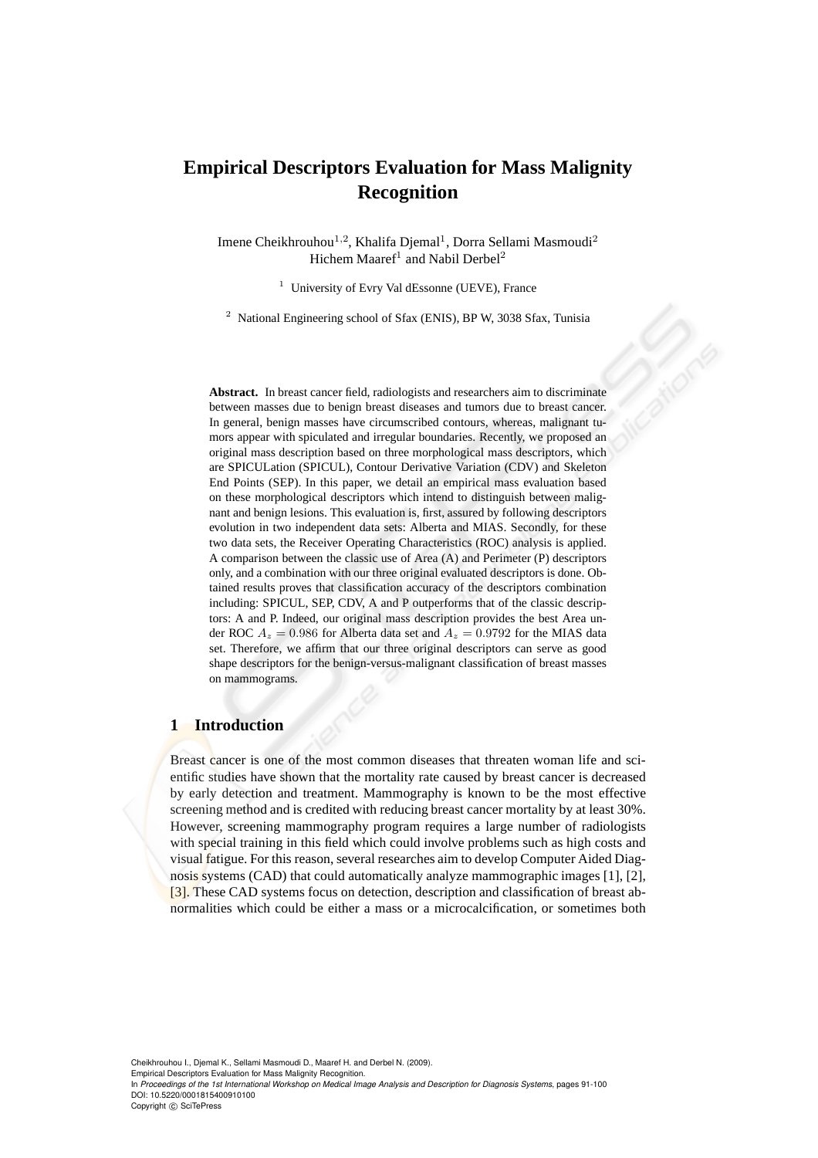# **Empirical Descriptors Evaluation for Mass Malignity Recognition**

Imene Cheikhrouhou<sup>1,2</sup>, Khalifa Djemal<sup>1</sup>, Dorra Sellami Masmoudi<sup>2</sup> Hichem Maaref<sup>1</sup> and Nabil Derbel<sup>2</sup>

<sup>1</sup> University of Evry Val dEssonne (UEVE), France

<sup>2</sup> National Engineering school of Sfax (ENIS), BP W, 3038 Sfax, Tunisia

**Abstract.** In breast cancer field, radiologists and researchers aim to discriminate between masses due to benign breast diseases and tumors due to breast cancer. In general, benign masses have circumscribed contours, whereas, malignant tumors appear with spiculated and irregular boundaries. Recently, we proposed an original mass description based on three morphological mass descriptors, which are SPICULation (SPICUL), Contour Derivative Variation (CDV) and Skeleton End Points (SEP). In this paper, we detail an empirical mass evaluation based on these morphological descriptors which intend to distinguish between malignant and benign lesions. This evaluation is, first, assured by following descriptors evolution in two independent data sets: Alberta and MIAS. Secondly, for these two data sets, the Receiver Operating Characteristics (ROC) analysis is applied. A comparison between the classic use of Area (A) and Perimeter (P) descriptors only, and a combination with our three original evaluated descriptors is done. Obtained results proves that classification accuracy of the descriptors combination including: SPICUL, SEP, CDV, A and P outperforms that of the classic descriptors: A and P. Indeed, our original mass description provides the best Area under ROC  $A_z = 0.986$  for Alberta data set and  $A_z = 0.9792$  for the MIAS data set. Therefore, we affirm that our three original descriptors can serve as good shape descriptors for the benign-versus-malignant classification of breast masses on mammograms.

#### **1 Introduction**

Breast cancer is one of the most common diseases that threaten woman life and scientific studies have shown that the mortality rate caused by breast cancer is decreased by early detection and treatment. Mammography is known to be the most effective screening method and is credited with reducing breast cancer mortality by at least 30%. However, screening mammography program requires a large number of radiologists with special training in this field which could involve problems such as high costs and visual fatigue. For this reason, several researches aim to develop Computer Aided Diagnosis systems (CAD) that could automatically analyze mammographic images [1], [2], [3]. These CAD systems focus on detection, description and classification of breast abnormalities which could be either a mass or a microcalcification, or sometimes both

Cheikhrouhou I., Djemal K., Sellami Masmoudi D., Maaref H. and Derbel N. (2009). Empirical Descriptors Evaluation for Mass Malignity Recognition. In *Proceedings of the 1st International Workshop on Medical Image Analysis and Description for Diagnosis Systems*, pages 91-100 DOI: 10.5220/0001815400910100 Copyright © SciTePress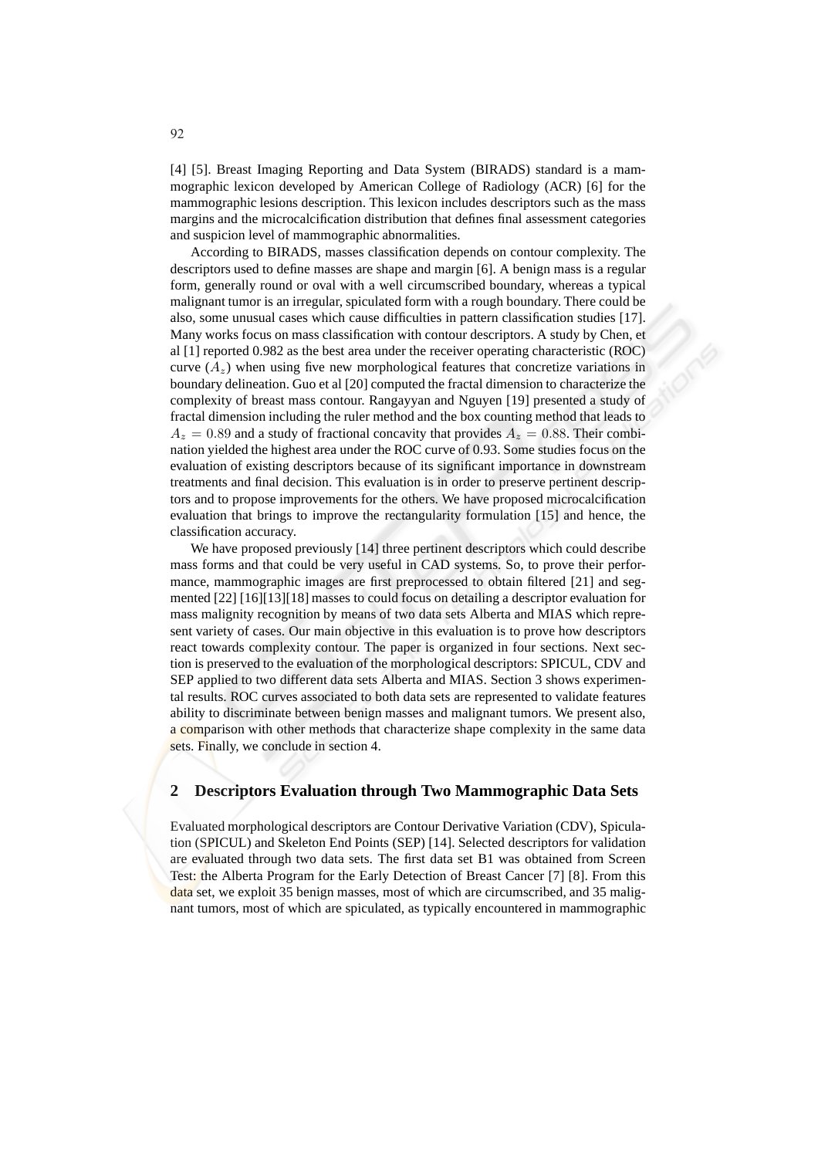[4] [5]. Breast Imaging Reporting and Data System (BIRADS) standard is a mammographic lexicon developed by American College of Radiology (ACR) [6] for the mammographic lesions description. This lexicon includes descriptors such as the mass margins and the microcalcification distribution that defines final assessment categories and suspicion level of mammographic abnormalities.

According to BIRADS, masses classification depends on contour complexity. The descriptors used to define masses are shape and margin [6]. A benign mass is a regular form, generally round or oval with a well circumscribed boundary, whereas a typical malignant tumor is an irregular, spiculated form with a rough boundary. There could be also, some unusual cases which cause difficulties in pattern classification studies [17]. Many works focus on mass classification with contour descriptors. A study by Chen, et al [1] reported 0.982 as the best area under the receiver operating characteristic (ROC) curve  $(A_z)$  when using five new morphological features that concretize variations in boundary delineation. Guo et al [20] computed the fractal dimension to characterize the complexity of breast mass contour. Rangayyan and Nguyen [19] presented a study of fractal dimension including the ruler method and the box counting method that leads to  $A_z = 0.89$  and a study of fractional concavity that provides  $A_z = 0.88$ . Their combination yielded the highest area under the ROC curve of 0.93. Some studies focus on the evaluation of existing descriptors because of its significant importance in downstream treatments and final decision. This evaluation is in order to preserve pertinent descriptors and to propose improvements for the others. We have proposed microcalcification evaluation that brings to improve the rectangularity formulation [15] and hence, the classification accuracy.

We have proposed previously [14] three pertinent descriptors which could describe mass forms and that could be very useful in CAD systems. So, to prove their performance, mammographic images are first preprocessed to obtain filtered [21] and segmented [22] [16][13][18] masses to could focus on detailing a descriptor evaluation for mass malignity recognition by means of two data sets Alberta and MIAS which represent variety of cases. Our main objective in this evaluation is to prove how descriptors react towards complexity contour. The paper is organized in four sections. Next section is preserved to the evaluation of the morphological descriptors: SPICUL, CDV and SEP applied to two different data sets Alberta and MIAS. Section 3 shows experimental results. ROC curves associated to both data sets are represented to validate features ability to discriminate between benign masses and malignant tumors. We present also, a comparison with other methods that characterize shape complexity in the same data sets. Finally, we conclude in section 4.

## **2 Descriptors Evaluation through Two Mammographic Data Sets**

Evaluated morphological descriptors are Contour Derivative Variation (CDV), Spiculation (SPICUL) and Skeleton End Points (SEP) [14]. Selected descriptors for validation are evaluated through two data sets. The first data set B1 was obtained from Screen Test: the Alberta Program for the Early Detection of Breast Cancer [7] [8]. From this data set, we exploit 35 benign masses, most of which are circumscribed, and 35 malignant tumors, most of which are spiculated, as typically encountered in mammographic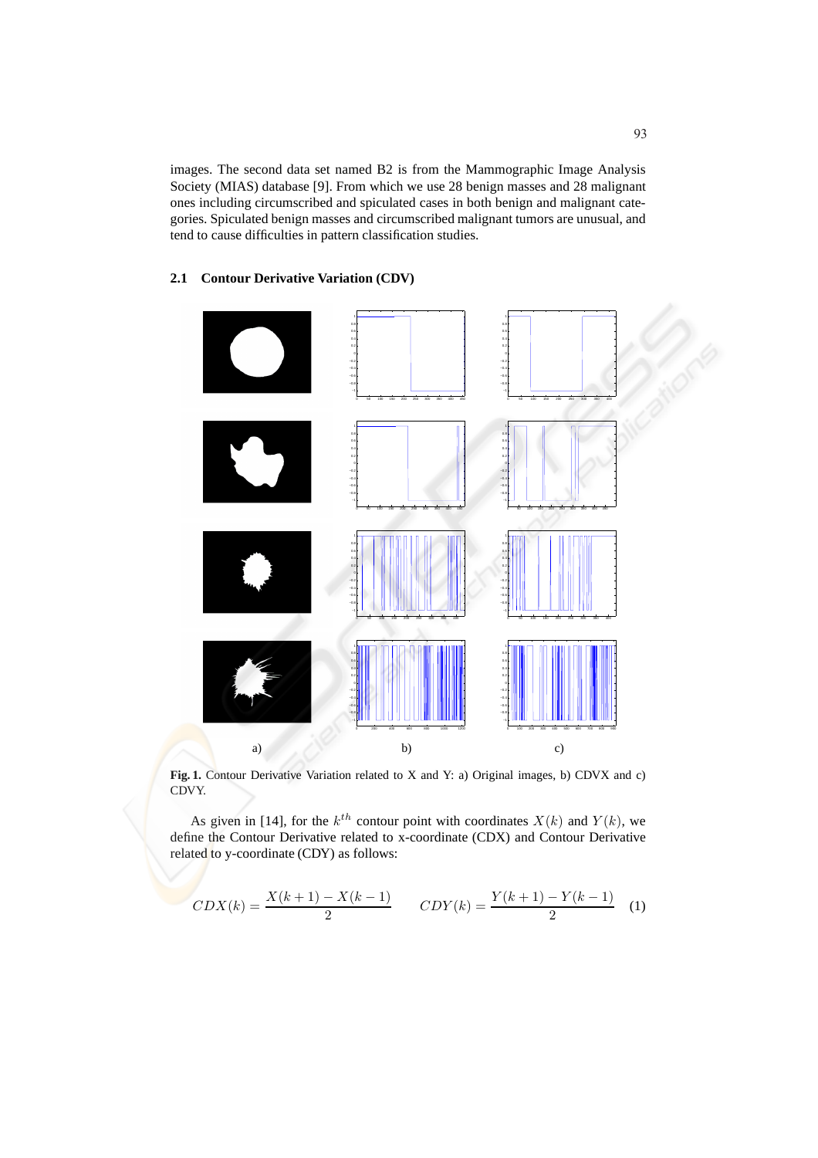images. The second data set named B2 is from the Mammographic Image Analysis Society (MIAS) database [9]. From which we use 28 benign masses and 28 malignant ones including circumscribed and spiculated cases in both benign and malignant categories. Spiculated benign masses and circumscribed malignant tumors are unusual, and tend to cause difficulties in pattern classification studies.

### **2.1 Contour Derivative Variation (CDV)**



**Fig. 1.** Contour Derivative Variation related to X and Y: a) Original images, b) CDVX and c) CDVY.

As given in [14], for the  $k^{th}$  contour point with coordinates  $X(k)$  and  $Y(k)$ , we define the Contour Derivative related to x-coordinate (CDX) and Contour Derivative related to y-coordinate (CDY) as follows:

$$
CDX(k) = \frac{X(k+1) - X(k-1)}{2} \qquad CDY(k) = \frac{Y(k+1) - Y(k-1)}{2} \tag{1}
$$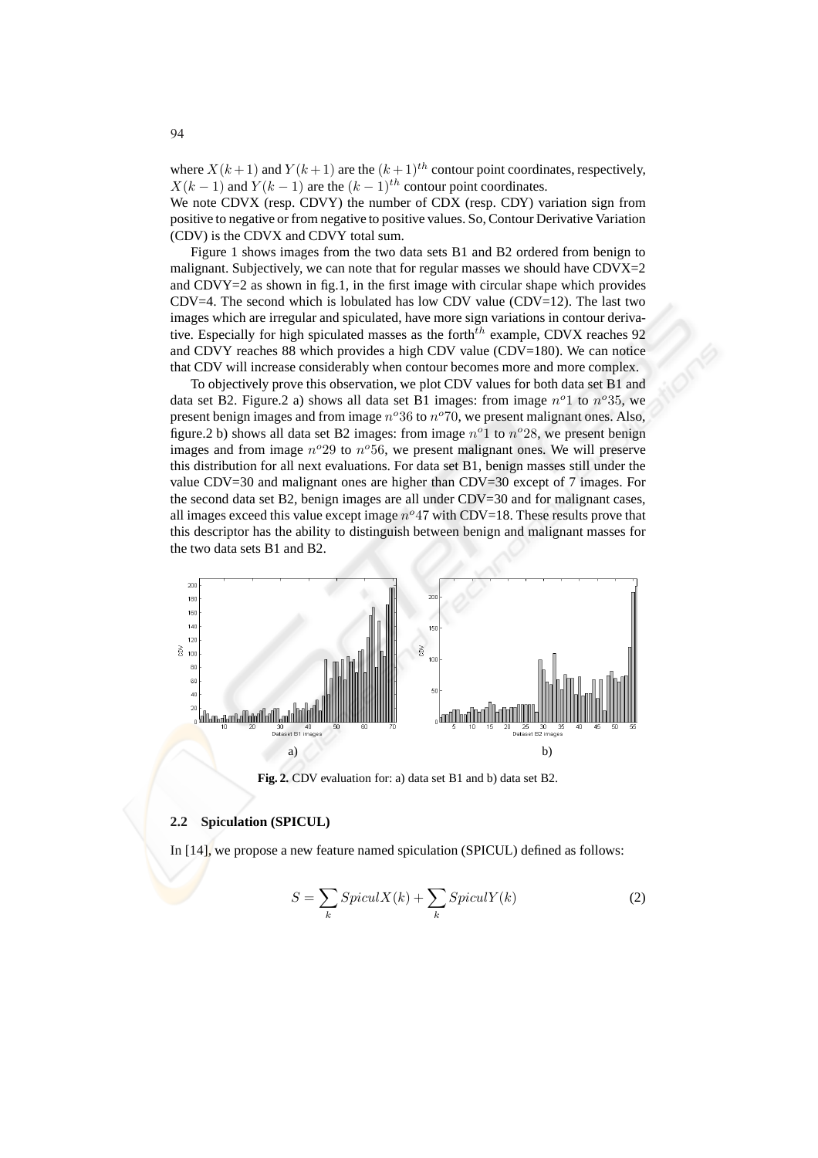where  $X(k+1)$  and  $Y(k+1)$  are the  $(k+1)^{th}$  contour point coordinates, respectively,  $X(k-1)$  and  $Y(k-1)$  are the  $(k-1)$ <sup>th</sup> contour point coordinates.

We note CDVX (resp. CDVY) the number of CDX (resp. CDY) variation sign from positive to negative or from negative to positive values. So, Contour Derivative Variation (CDV) is the CDVX and CDVY total sum.

Figure 1 shows images from the two data sets B1 and B2 ordered from benign to malignant. Subjectively, we can note that for regular masses we should have CDVX=2 and CDVY $=2$  as shown in fig.1, in the first image with circular shape which provides  $CDV=4$ . The second which is lobulated has low CDV value  $(CDV=12)$ . The last two images which are irregular and spiculated, have more sign variations in contour derivative. Especially for high spiculated masses as the forth $^{th}$  example, CDVX reaches 92 and CDVY reaches 88 which provides a high CDV value (CDV=180). We can notice that CDV will increase considerably when contour becomes more and more complex.

To objectively prove this observation, we plot CDV values for both data set B1 and data set B2. Figure.2 a) shows all data set B1 images: from image  $n^o1$  to  $n^o35$ , we present benign images and from image  $n^{\circ}36$  to  $n^{\circ}70$ , we present malignant ones. Also, figure.2 b) shows all data set B2 images: from image  $n^{\circ}1$  to  $n^{\circ}28$ , we present benign images and from image  $n^o29$  to  $n^o56$ , we present malignant ones. We will preserve this distribution for all next evaluations. For data set B1, benign masses still under the value CDV=30 and malignant ones are higher than CDV=30 except of 7 images. For the second data set B2, benign images are all under CDV=30 and for malignant cases, all images exceed this value except image  $n^{\circ}47$  with CDV=18. These results prove that this descriptor has the ability to distinguish between benign and malignant masses for the two data sets B1 and B2.



**Fig. 2.** CDV evaluation for: a) data set B1 and b) data set B2.

#### **2.2 Spiculation (SPICUL)**

In [14], we propose a new feature named spiculation (SPICUL) defined as follows:

$$
S = \sum_{k} SpiculX(k) + \sum_{k} SpiculY(k)
$$
 (2)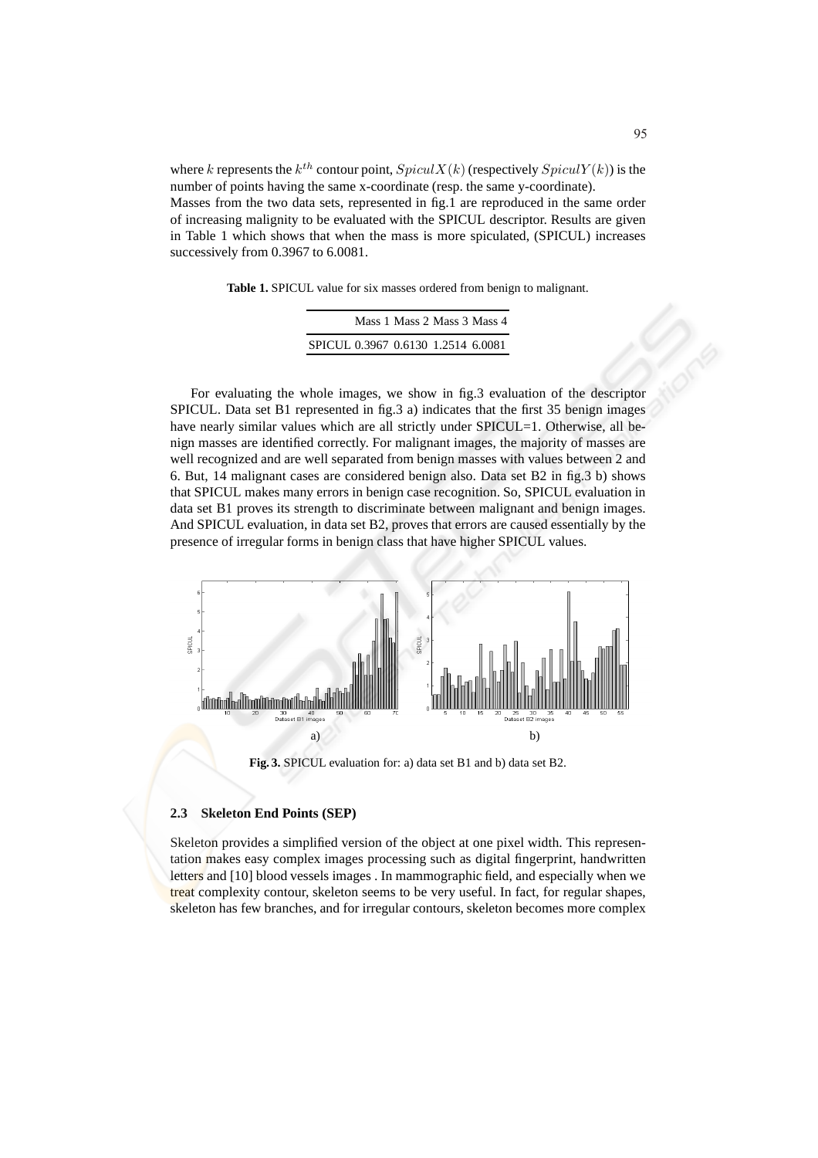where k represents the  $k^{th}$  contour point,  $SpicuX(k)$  (respectively  $SpicuY(k)$ ) is the number of points having the same x-coordinate (resp. the same y-coordinate). Masses from the two data sets, represented in fig.1 are reproduced in the same order of increasing malignity to be evaluated with the SPICUL descriptor. Results are given in Table 1 which shows that when the mass is more spiculated, (SPICUL) increases successively from 0.3967 to 6.0081.

**Table 1.** SPICUL value for six masses ordered from benign to malignant.

|                                    | Mass 1 Mass 2 Mass 3 Mass 4 |  |
|------------------------------------|-----------------------------|--|
| SPICUL 0.3967 0.6130 1.2514 6.0081 |                             |  |

For evaluating the whole images, we show in fig.3 evaluation of the descriptor SPICUL. Data set B1 represented in fig.3 a) indicates that the first 35 benign images have nearly similar values which are all strictly under SPICUL=1. Otherwise, all benign masses are identified correctly. For malignant images, the majority of masses are well recognized and are well separated from benign masses with values between 2 and 6. But, 14 malignant cases are considered benign also. Data set B2 in fig.3 b) shows that SPICUL makes many errors in benign case recognition. So, SPICUL evaluation in data set B1 proves its strength to discriminate between malignant and benign images. And SPICUL evaluation, in data set B2, proves that errors are caused essentially by the presence of irregular forms in benign class that have higher SPICUL values.



**Fig. 3.** SPICUL evaluation for: a) data set B1 and b) data set B2.

#### **2.3 Skeleton End Points (SEP)**

Skeleton provides a simplified version of the object at one pixel width. This representation makes easy complex images processing such as digital fingerprint, handwritten letters and [10] blood vessels images . In mammographic field, and especially when we treat complexity contour, skeleton seems to be very useful. In fact, for regular shapes, skeleton has few branches, and for irregular contours, skeleton becomes more complex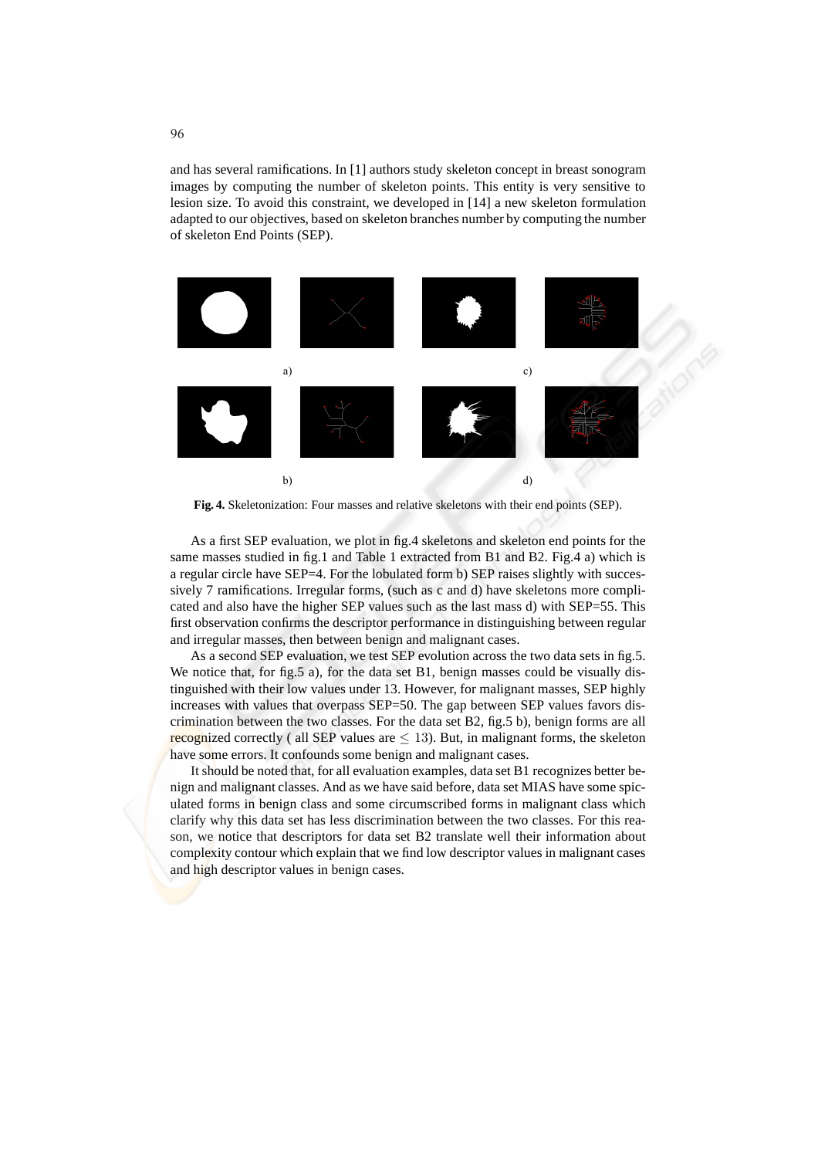and has several ramifications. In [1] authors study skeleton concept in breast sonogram images by computing the number of skeleton points. This entity is very sensitive to lesion size. To avoid this constraint, we developed in [14] a new skeleton formulation adapted to our objectives, based on skeleton branches number by computing the number of skeleton End Points (SEP).



**Fig. 4.** Skeletonization: Four masses and relative skeletons with their end points (SEP).

As a first SEP evaluation, we plot in fig.4 skeletons and skeleton end points for the same masses studied in fig.1 and Table 1 extracted from B1 and B2. Fig.4 a) which is a regular circle have SEP=4. For the lobulated form b) SEP raises slightly with successively 7 ramifications. Irregular forms, (such as c and d) have skeletons more complicated and also have the higher SEP values such as the last mass d) with SEP=55. This first observation confirms the descriptor performance in distinguishing between regular and irregular masses, then between benign and malignant cases.

As a second SEP evaluation, we test SEP evolution across the two data sets in fig.5. We notice that, for fig.5 a), for the data set B1, benign masses could be visually distinguished with their low values under 13. However, for malignant masses, SEP highly increases with values that overpass SEP=50. The gap between SEP values favors discrimination between the two classes. For the data set B2, fig.5 b), benign forms are all recognized correctly ( all SEP values are  $\leq$  13). But, in malignant forms, the skeleton have some errors. It confounds some benign and malignant cases.

It should be noted that, for all evaluation examples, data set B1 recognizes better benign and malignant classes. And as we have said before, data set MIAS have some spiculated forms in benign class and some circumscribed forms in malignant class which clarify why this data set has less discrimination between the two classes. For this reason, we notice that descriptors for data set B2 translate well their information about complexity contour which explain that we find low descriptor values in malignant cases and high descriptor values in benign cases.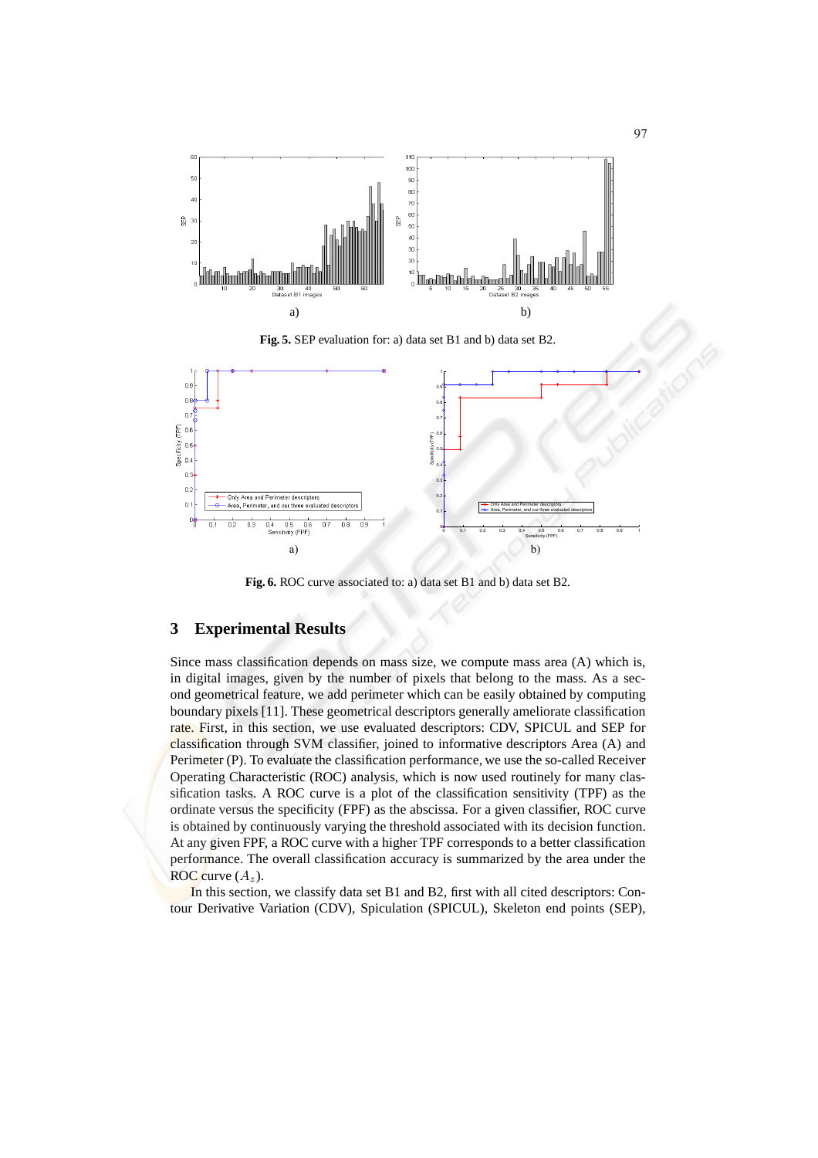

**Fig. 5.** SEP evaluation for: a) data set B1 and b) data set B2.



**Fig. 6.** ROC curve associated to: a) data set B1 and b) data set B2.

## **3 Experimental Results**

Since mass classification depends on mass size, we compute mass area (A) which is, in digital images, given by the number of pixels that belong to the mass. As a second geometrical feature, we add perimeter which can be easily obtained by computing boundary pixels [11]. These geometrical descriptors generally ameliorate classification rate. First, in this section, we use evaluated descriptors: CDV, SPICUL and SEP for classification through SVM classifier, joined to informative descriptors Area (A) and Perimeter (P). To evaluate the classification performance, we use the so-called Receiver Operating Characteristic (ROC) analysis, which is now used routinely for many classification tasks. A ROC curve is a plot of the classification sensitivity (TPF) as the ordinate versus the specificity (FPF) as the abscissa. For a given classifier, ROC curve is obtained by continuously varying the threshold associated with its decision function. At any given FPF, a ROC curve with a higher TPF corresponds to a better classification performance. The overall classification accuracy is summarized by the area under the ROC curve  $(A_z)$ .

In this section, we classify data set B1 and B2, first with all cited descriptors: Contour Derivative Variation (CDV), Spiculation (SPICUL), Skeleton end points (SEP),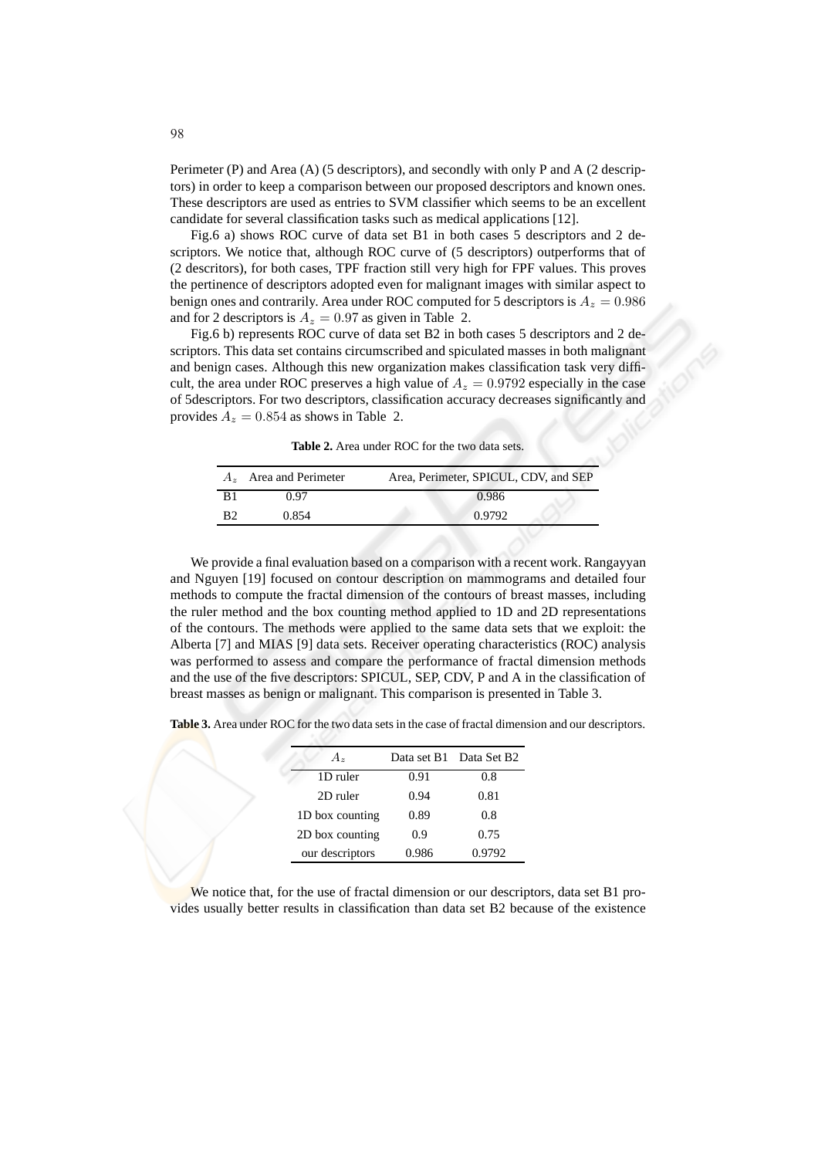Perimeter (P) and Area (A) (5 descriptors), and secondly with only P and A (2 descriptors) in order to keep a comparison between our proposed descriptors and known ones. These descriptors are used as entries to SVM classifier which seems to be an excellent candidate for several classification tasks such as medical applications [12].

Fig.6 a) shows ROC curve of data set B1 in both cases 5 descriptors and 2 descriptors. We notice that, although ROC curve of (5 descriptors) outperforms that of (2 descritors), for both cases, TPF fraction still very high for FPF values. This proves the pertinence of descriptors adopted even for malignant images with similar aspect to benign ones and contrarily. Area under ROC computed for 5 descriptors is  $A_z = 0.986$ and for 2 descriptors is  $A_z = 0.97$  as given in Table 2.

Fig.6 b) represents ROC curve of data set B2 in both cases 5 descriptors and 2 descriptors. This data set contains circumscribed and spiculated masses in both malignant and benign cases. Although this new organization makes classification task very difficult, the area under ROC preserves a high value of  $A_z = 0.9792$  especially in the case of 5descriptors. For two descriptors, classification accuracy decreases significantly and provides  $A_z = 0.854$  as shows in Table 2.

**Table 2.** Area under ROC for the two data sets.

| 0.986<br>በ 97                     | Area and Perimeter | Area, Perimeter, SPICUL, CDV, and SEP |
|-----------------------------------|--------------------|---------------------------------------|
|                                   |                    |                                       |
| 0.9792<br>R <sub>2</sub><br>0.854 |                    |                                       |

We provide a final evaluation based on a comparison with a recent work. Rangayyan and Nguyen [19] focused on contour description on mammograms and detailed four methods to compute the fractal dimension of the contours of breast masses, including the ruler method and the box counting method applied to 1D and 2D representations of the contours. The methods were applied to the same data sets that we exploit: the Alberta [7] and MIAS [9] data sets. Receiver operating characteristics (ROC) analysis was performed to assess and compare the performance of fractal dimension methods and the use of the five descriptors: SPICUL, SEP, CDV, P and A in the classification of breast masses as benign or malignant. This comparison is presented in Table 3.

**Table 3.** Area under ROC for the two data sets in the case of fractal dimension and our descriptors.

| $A_{\rm z}$     | Data set B1 | Data Set B2 |
|-----------------|-------------|-------------|
| 1D ruler        | 0.91        | 0.8         |
| 2D ruler        | 0.94        | 0.81        |
| 1D box counting | 0.89        | 0.8         |
| 2D box counting | 0.9         | 0.75        |
| our descriptors | 0.986       | 0.9792      |

We notice that, for the use of fractal dimension or our descriptors, data set B1 provides usually better results in classification than data set B2 because of the existence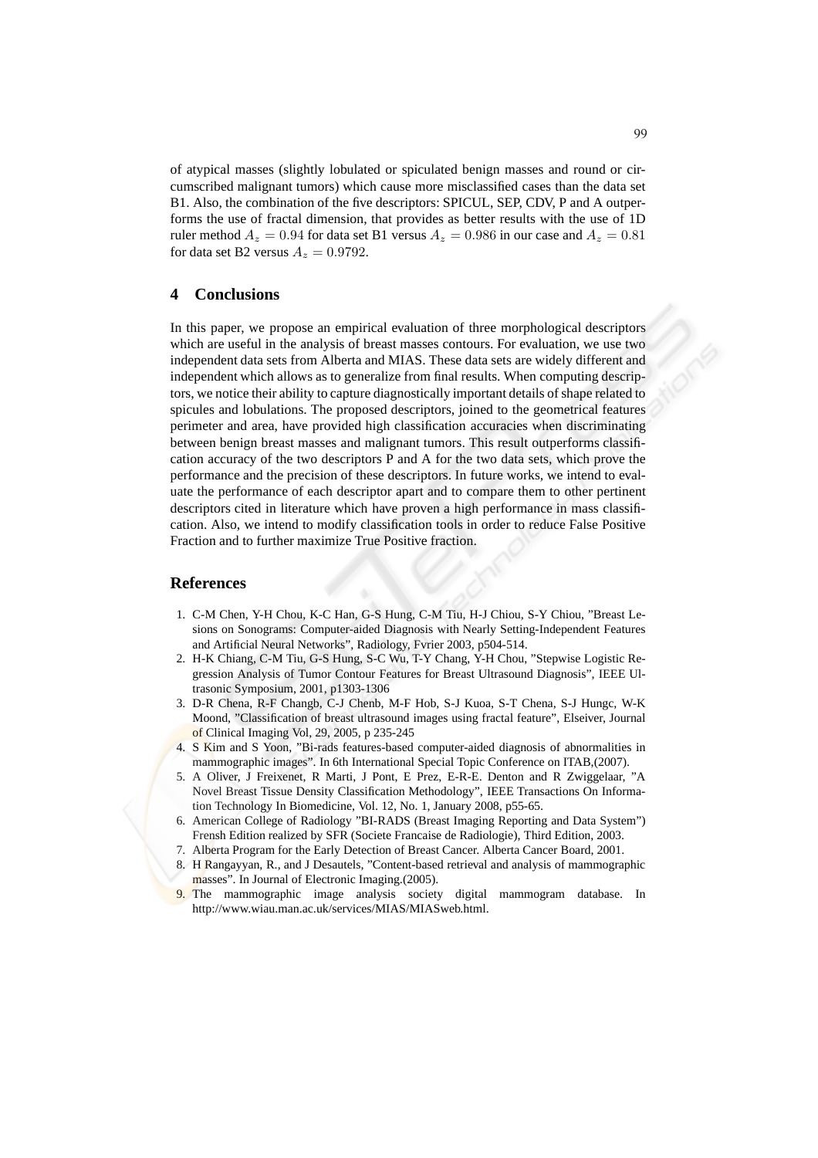of atypical masses (slightly lobulated or spiculated benign masses and round or circumscribed malignant tumors) which cause more misclassified cases than the data set B1. Also, the combination of the five descriptors: SPICUL, SEP, CDV, P and A outperforms the use of fractal dimension, that provides as better results with the use of 1D ruler method  $A_z = 0.94$  for data set B1 versus  $A_z = 0.986$  in our case and  $A_z = 0.81$ for data set B2 versus  $A_z = 0.9792$ .

## **4 Conclusions**

In this paper, we propose an empirical evaluation of three morphological descriptors which are useful in the analysis of breast masses contours. For evaluation, we use two independent data sets from Alberta and MIAS. These data sets are widely different and independent which allows as to generalize from final results. When computing descriptors, we notice their ability to capture diagnostically important details of shape related to spicules and lobulations. The proposed descriptors, joined to the geometrical features perimeter and area, have provided high classification accuracies when discriminating between benign breast masses and malignant tumors. This result outperforms classification accuracy of the two descriptors P and A for the two data sets, which prove the performance and the precision of these descriptors. In future works, we intend to evaluate the performance of each descriptor apart and to compare them to other pertinent descriptors cited in literature which have proven a high performance in mass classification. Also, we intend to modify classification tools in order to reduce False Positive Fraction and to further maximize True Positive fraction.

#### **References**

- 1. C-M Chen, Y-H Chou, K-C Han, G-S Hung, C-M Tiu, H-J Chiou, S-Y Chiou, "Breast Lesions on Sonograms: Computer-aided Diagnosis with Nearly Setting-Independent Features and Artificial Neural Networks", Radiology, Fvrier 2003, p504-514.
- 2. H-K Chiang, C-M Tiu, G-S Hung, S-C Wu, T-Y Chang, Y-H Chou, "Stepwise Logistic Regression Analysis of Tumor Contour Features for Breast Ultrasound Diagnosis", IEEE Ultrasonic Symposium, 2001, p1303-1306
- 3. D-R Chena, R-F Changb, C-J Chenb, M-F Hob, S-J Kuoa, S-T Chena, S-J Hungc, W-K Moond, "Classification of breast ultrasound images using fractal feature", Elseiver, Journal of Clinical Imaging Vol, 29, 2005, p 235-245
- S Kim and S Yoon, "Bi-rads features-based computer-aided diagnosis of abnormalities in mammographic images". In 6th International Special Topic Conference on ITAB,(2007).
- 5. A Oliver, J Freixenet, R Marti, J Pont, E Prez, E-R-E. Denton and R Zwiggelaar, "A Novel Breast Tissue Density Classification Methodology", IEEE Transactions On Information Technology In Biomedicine, Vol. 12, No. 1, January 2008, p55-65.
- 6. American College of Radiology "BI-RADS (Breast Imaging Reporting and Data System") Frensh Edition realized by SFR (Societe Francaise de Radiologie), Third Edition, 2003.
- 7. Alberta Program for the Early Detection of Breast Cancer. Alberta Cancer Board, 2001.
- 8. H Rangayyan, R., and J Desautels, "Content-based retrieval and analysis of mammographic masses". In Journal of Electronic Imaging.(2005).
- 9. The mammographic image analysis society digital mammogram database. In http://www.wiau.man.ac.uk/services/MIAS/MIASweb.html.